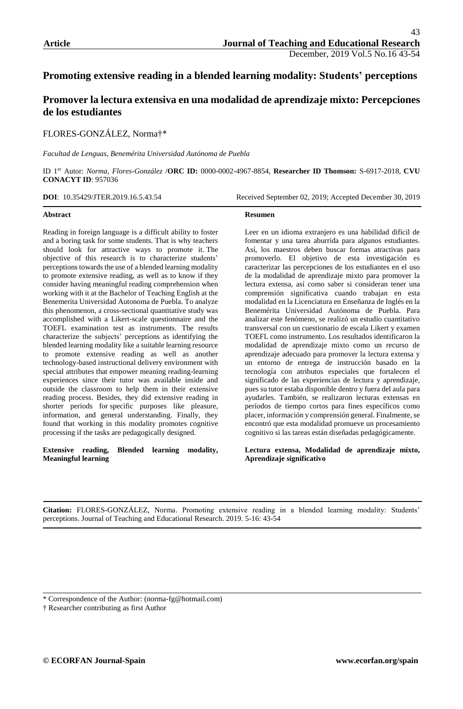# **Promoting extensive reading in a blended learning modality: Students' perceptions**

# **Promover la lectura extensiva en una modalidad de aprendizaje mixto: Percepciones de los estudiantes**

FLORES-GONZÁLEZ, Norma†\*

*Facultad de Lenguas, Benemérita Universidad Autónoma de Puebla*

ID 1er Autor: *Norma, Flores-González* /**ORC ID:** 0000-0002-4967-8854, **Researcher ID Thomson:** S-6917-2018, **CVU CONACYT ID**: 957036

**Resumen** 

**DOI**: 10.35429/JTER.2019.16.5.43.54 Received September 02, 2019; Accepted December 30, 2019

#### **Abstract**

Reading in foreign language is a difficult ability to foster and a boring task for some students. That is why teachers should look for attractive ways to promote it. The objective of this research is to characterize students' perceptionstowards the use of a blended learning modality to promote extensive reading, as well as to know if they consider having meaningful reading comprehension when working with it at the Bachelor of Teaching English at the Benemerita Universidad Autonoma de Puebla. To analyze this phenomenon, a cross-sectional quantitative study was accomplished with a Likert-scale questionnaire and the TOEFL examination test as instruments. The results characterize the subjects' perceptions as identifying the blended learning modality like a suitable learning resource to promote extensive reading as well as another technology-based instructional delivery environment with special attributes that empower meaning reading-learning experiences since their tutor was available inside and outside the classroom to help them in their extensive reading process. Besides, they did extensive reading in shorter periods for specific purposes like pleasure, information, and general understanding. Finally, they found that working in this modality promotes cognitive processing if the tasks are pedagogically designed.

**Extensive reading, Blended learning modality, Meaningful learning**

Leer en un idioma extranjero es una habilidad difícil de fomentar y una tarea aburrida para algunos estudiantes. Así, los maestros deben buscar formas atractivas para promoverlo. El objetivo de esta investigación es caracterizar las percepciones de los estudiantes en el uso de la modalidad de aprendizaje mixto para promover la lectura extensa, así como saber si consideran tener una comprensión significativa cuando trabajan en esta modalidad en la Licenciatura en Enseñanza de Inglés en la Benemérita Universidad Autónoma de Puebla. Para analizar este fenómeno, se realizó un estudio cuantitativo transversal con un cuestionario de escala Likert y examen TOEFL como instrumento. Los resultados identificaron la modalidad de aprendizaje mixto como un recurso de aprendizaje adecuado para promover la lectura extensa y un entorno de entrega de instrucción basado en la tecnología con atributos especiales que fortalecen el significado de las experiencias de lectura y aprendizaje, pues su tutor estaba disponible dentro y fuera del aula para ayudarles. También, se realizaron lecturas extensas en períodos de tiempo cortos para fines específicos como placer, información y comprensión general. Finalmente, se encontró que esta modalidad promueve un procesamiento cognitivo si las tareas están diseñadas pedagógicamente.

**Lectura extensa, Modalidad de aprendizaje mixto, Aprendizaje significativo**

**Citation:** FLORES-GONZÁLEZ, Norma. Promoting extensive reading in a blended learning modality: Students' perceptions. Journal of Teaching and Educational Research. 2019. 5-16: 43-54

\* Correspondence of the Author: (norma-fg@hotmail.com)

† Researcher contributing as first Author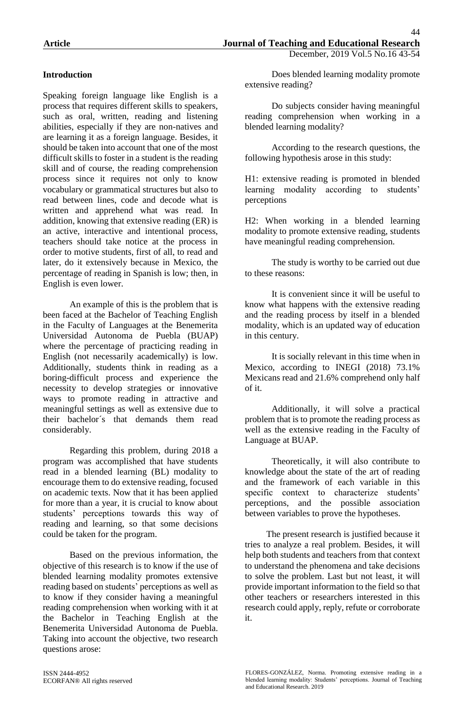## **Introduction**

Speaking foreign language like English is a process that requires different skills to speakers, such as oral, written, reading and listening abilities, especially if they are non-natives and are learning it as a foreign language. Besides, it should be taken into account that one of the most difficult skills to foster in a student is the reading skill and of course, the reading comprehension process since it requires not only to know vocabulary or grammatical structures but also to read between lines, code and decode what is written and apprehend what was read. In addition, knowing that extensive reading (ER) is an active, interactive and intentional process, teachers should take notice at the process in order to motive students, first of all, to read and later, do it extensively because in Mexico, the percentage of reading in Spanish is low; then, in English is even lower.

An example of this is the problem that is been faced at the Bachelor of Teaching English in the Faculty of Languages at the Benemerita Universidad Autonoma de Puebla (BUAP) where the percentage of practicing reading in English (not necessarily academically) is low. Additionally, students think in reading as a boring-difficult process and experience the necessity to develop strategies or innovative ways to promote reading in attractive and meaningful settings as well as extensive due to their bachelor´s that demands them read considerably.

Regarding this problem, during 2018 a program was accomplished that have students read in a blended learning (BL) modality to encourage them to do extensive reading, focused on academic texts. Now that it has been applied for more than a year, it is crucial to know about students' perceptions towards this way of reading and learning, so that some decisions could be taken for the program.

Based on the previous information, the objective of this research is to know if the use of blended learning modality promotes extensive reading based on students' perceptions as well as to know if they consider having a meaningful reading comprehension when working with it at the Bachelor in Teaching English at the Benemerita Universidad Autonoma de Puebla. Taking into account the objective, two research questions arose:

Do subjects consider having meaningful reading comprehension when working in a blended learning modality?

According to the research questions, the following hypothesis arose in this study:

H1: extensive reading is promoted in blended learning modality according to students' perceptions

H2: When working in a blended learning modality to promote extensive reading, students have meaningful reading comprehension.

The study is worthy to be carried out due to these reasons:

It is convenient since it will be useful to know what happens with the extensive reading and the reading process by itself in a blended modality, which is an updated way of education in this century.

It is socially relevant in this time when in Mexico, according to INEGI (2018) 73.1% Mexicans read and 21.6% comprehend only half of it.

Additionally, it will solve a practical problem that is to promote the reading process as well as the extensive reading in the Faculty of Language at BUAP.

Theoretically, it will also contribute to knowledge about the state of the art of reading and the framework of each variable in this specific context to characterize students' perceptions, and the possible association between variables to prove the hypotheses.

The present research is justified because it tries to analyze a real problem. Besides, it will help both students and teachers from that context to understand the phenomena and take decisions to solve the problem. Last but not least, it will provide important information to the field so that other teachers or researchers interested in this research could apply, reply, refute or corroborate it.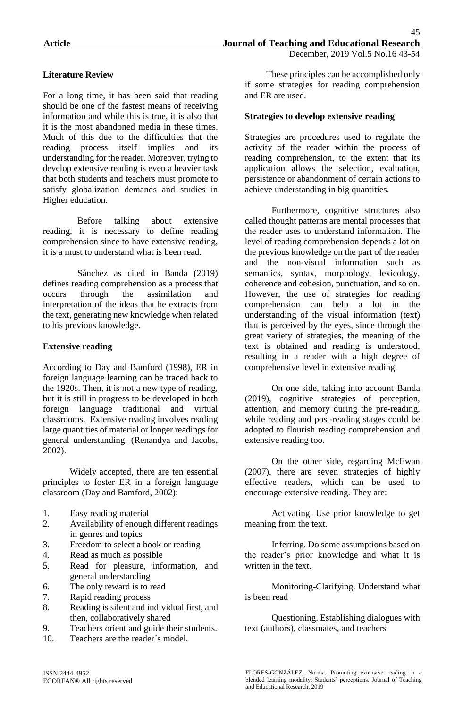## **Literature Review**

For a long time, it has been said that reading should be one of the fastest means of receiving information and while this is true, it is also that it is the most abandoned media in these times. Much of this due to the difficulties that the reading process itself implies and its understanding for the reader. Moreover, trying to develop extensive reading is even a heavier task that both students and teachers must promote to satisfy globalization demands and studies in Higher education.

Before talking about extensive reading, it is necessary to define reading comprehension since to have extensive reading, it is a must to understand what is been read.

Sánchez as cited in Banda (2019) defines reading comprehension as a process that occurs through the assimilation and interpretation of the ideas that he extracts from the text, generating new knowledge when related to his previous knowledge.

### **Extensive reading**

According to Day and Bamford (1998), ER in foreign language learning can be traced back to the 1920s. Then, it is not a new type of reading, but it is still in progress to be developed in both foreign language traditional and virtual classrooms. Extensive reading involves reading large quantities of material or longer readings for general understanding. (Renandya and Jacobs, 2002).

Widely accepted, there are ten essential principles to foster ER in a foreign language classroom (Day and Bamford, 2002):

- 1. Easy reading material
- 2. Availability of enough different readings in genres and topics
- 3. Freedom to select a book or reading
- 4. Read as much as possible
- 5. Read for pleasure, information, and general understanding
- 6. The only reward is to read
- 7. Rapid reading process
- 8. Reading is silent and individual first, and then, collaboratively shared
- 9. Teachers orient and guide their students.
- 10. Teachers are the reader´s model.

These principles can be accomplished only if some strategies for reading comprehension and ER are used.

#### **Strategies to develop extensive reading**

Strategies are procedures used to regulate the activity of the reader within the process of reading comprehension, to the extent that its application allows the selection, evaluation, persistence or abandonment of certain actions to achieve understanding in big quantities.

Furthermore, cognitive structures also called thought patterns are mental processes that the reader uses to understand information. The level of reading comprehension depends a lot on the previous knowledge on the part of the reader and the non-visual information such as semantics, syntax, morphology, lexicology, coherence and cohesion, punctuation, and so on. However, the use of strategies for reading comprehension can help a lot in the understanding of the visual information (text) that is perceived by the eyes, since through the great variety of strategies, the meaning of the text is obtained and reading is understood, resulting in a reader with a high degree of comprehensive level in extensive reading.

On one side, taking into account Banda (2019), cognitive strategies of perception, attention, and memory during the pre-reading, while reading and post-reading stages could be adopted to flourish reading comprehension and extensive reading too.

On the other side, regarding McEwan (2007), there are seven strategies of highly effective readers, which can be used to encourage extensive reading. They are:

Activating. Use prior knowledge to get meaning from the text.

Inferring. Do some assumptions based on the reader's prior knowledge and what it is written in the text.

Monitoring-Clarifying. Understand what is been read

Questioning. Establishing dialogues with text (authors), classmates, and teachers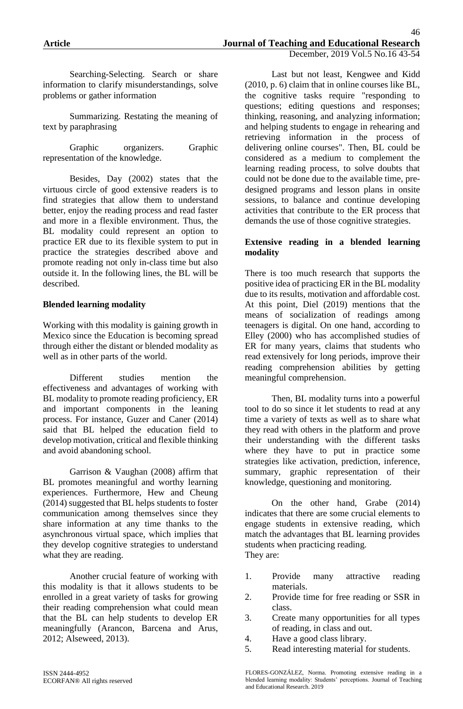Searching-Selecting. Search or share information to clarify misunderstandings, solve problems or gather information

Summarizing. Restating the meaning of text by paraphrasing

Graphic organizers. Graphic representation of the knowledge.

Besides, Day (2002) states that the virtuous circle of good extensive readers is to find strategies that allow them to understand better, enjoy the reading process and read faster and more in a flexible environment. Thus, the BL modality could represent an option to practice ER due to its flexible system to put in practice the strategies described above and promote reading not only in-class time but also outside it. In the following lines, the BL will be described.

### **Blended learning modality**

Working with this modality is gaining growth in Mexico since the Education is becoming spread through either the distant or blended modality as well as in other parts of the world.

Different studies mention the effectiveness and advantages of working with BL modality to promote reading proficiency, ER and important components in the leaning process. For instance, Guzer and Caner (2014) said that BL helped the education field to develop motivation, critical and flexible thinking and avoid abandoning school.

Garrison & Vaughan (2008) affirm that BL promotes meaningful and worthy learning experiences. Furthermore, Hew and Cheung (2014) suggested that BL helps students to foster communication among themselves since they share information at any time thanks to the asynchronous virtual space, which implies that they develop cognitive strategies to understand what they are reading.

Another crucial feature of working with this modality is that it allows students to be enrolled in a great variety of tasks for growing their reading comprehension what could mean that the BL can help students to develop ER meaningfully (Arancon, Barcena and Arus, 2012; Alseweed, 2013).

Last but not least, Kengwee and Kidd (2010, p. 6) claim that in online courses like BL, the cognitive tasks require "responding to questions; editing questions and responses; thinking, reasoning, and analyzing information; and helping students to engage in rehearing and retrieving information in the process of delivering online courses". Then, BL could be considered as a medium to complement the learning reading process, to solve doubts that could not be done due to the available time, predesigned programs and lesson plans in onsite sessions, to balance and continue developing activities that contribute to the ER process that demands the use of those cognitive strategies.

### **Extensive reading in a blended learning modality**

There is too much research that supports the positive idea of practicing ER in the BL modality due to its results, motivation and affordable cost. At this point, Diel (2019) mentions that the means of socialization of readings among teenagers is digital. On one hand, according to Elley (2000) who has accomplished studies of ER for many years, claims that students who read extensively for long periods, improve their reading comprehension abilities by getting meaningful comprehension.

Then, BL modality turns into a powerful tool to do so since it let students to read at any time a variety of texts as well as to share what they read with others in the platform and prove their understanding with the different tasks where they have to put in practice some strategies like activation, prediction, inference, summary, graphic representation of their knowledge, questioning and monitoring.

On the other hand, Grabe (2014) indicates that there are some crucial elements to engage students in extensive reading, which match the advantages that BL learning provides students when practicing reading. They are:

- 1. Provide many attractive reading materials.
- 2. Provide time for free reading or SSR in class.
- 3. Create many opportunities for all types of reading, in class and out.
- 4. Have a good class library.
- 5. Read interesting material for students.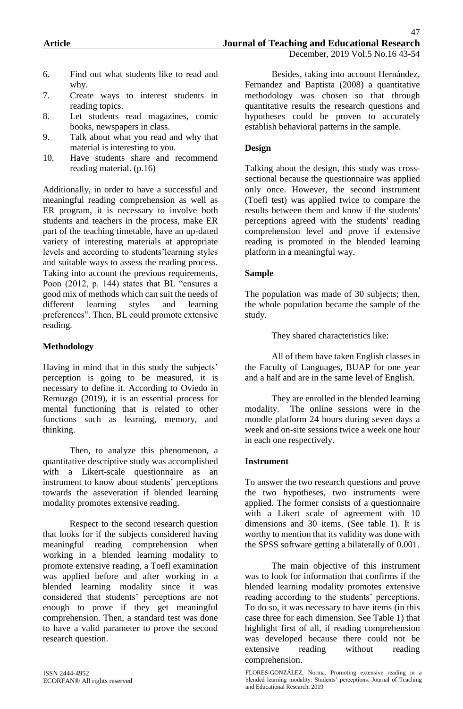- 6. Find out what students like to read and why.
- 7. Create ways to interest students in reading topics.
- 8. Let students read magazines, comic books, newspapers in class.
- 9. Talk about what you read and why that material is interesting to you.
- 10. Have students share and recommend reading material. (p.16)

Additionally, in order to have a successful and meaningful reading comprehension as well as ER program, it is necessary to involve both students and teachers in the process, make ER part of the teaching timetable, have an up-dated variety of interesting materials at appropriate levels and according to students'learning styles and suitable ways to assess the reading process. Taking into account the previous requirements, Poon (2012, p. 144) states that BL "ensures a good mix of methods which can suit the needs of different learning styles and learning preferences". Then, BL could promote extensive reading.

### **Methodology**

Having in mind that in this study the subjects' perception is going to be measured, it is necessary to define it. According to Oviedo in Remuzgo (2019), it is an essential process for mental functioning that is related to other functions such as learning, memory, and thinking.

Then, to analyze this phenomenon, a quantitative descriptive study was accomplished with a Likert-scale questionnaire as an instrument to know about students' perceptions towards the asseveration if blended learning modality promotes extensive reading.

Respect to the second research question that looks for if the subjects considered having meaningful reading comprehension when working in a blended learning modality to promote extensive reading, a Toefl examination was applied before and after working in a blended learning modality since it was considered that students' perceptions are not enough to prove if they get meaningful comprehension. Then, a standard test was done to have a valid parameter to prove the second research question.

Besides, taking into account Hernández, Fernandez and Baptista (2008) a quantitative methodology was chosen so that through quantitative results the research questions and hypotheses could be proven to accurately establish behavioral patterns in the sample.

### **Design**

Talking about the design, this study was crosssectional because the questionnaire was applied only once. However, the second instrument (Toefl test) was applied twice to compare the results between them and know if the students' perceptions agreed with the students' reading comprehension level and prove if extensive reading is promoted in the blended learning platform in a meaningful way.

#### **Sample**

The population was made of 30 subjects; then, the whole population became the sample of the study.

They shared characteristics like:

All of them have taken English classes in the Faculty of Languages, BUAP for one year and a half and are in the same level of English.

They are enrolled in the blended learning modality. The online sessions were in the moodle platform 24 hours during seven days a week and on-site sessions twice a week one hour in each one respectively.

#### **Instrument**

To answer the two research questions and prove the two hypotheses, two instruments were applied. The former consists of a questionnaire with a Likert scale of agreement with 10 dimensions and 30 items. (See table 1). It is worthy to mention that its validity was done with the SPSS software getting a bilaterally of 0.001.

The main objective of this instrument was to look for information that confirms if the blended learning modality promotes extensive reading according to the students' perceptions. To do so, it was necessary to have items (in this case three for each dimension. See Table 1) that highlight first of all, if reading comprehension was developed because there could not be extensive reading without reading comprehension.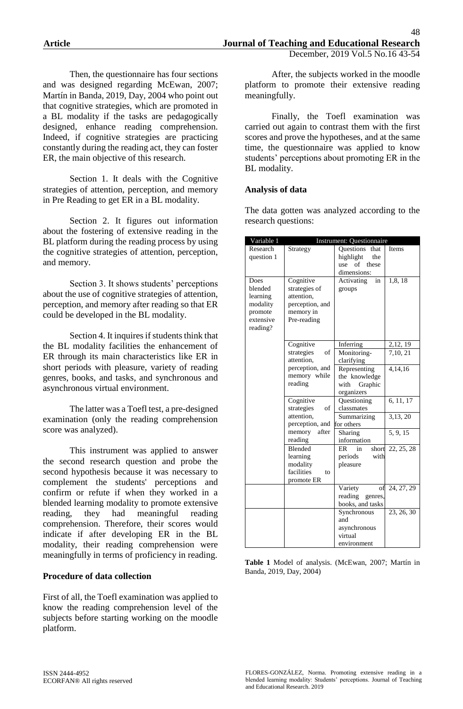Then, the questionnaire has four sections and was designed regarding McEwan, 2007; Martín in Banda, 2019, Day, 2004 who point out that cognitive strategies, which are promoted in a BL modality if the tasks are pedagogically designed, enhance reading comprehension. Indeed, if cognitive strategies are practicing constantly during the reading act, they can foster ER, the main objective of this research.

Section 1. It deals with the Cognitive strategies of attention, perception, and memory in Pre Reading to get ER in a BL modality.

Section 2. It figures out information about the fostering of extensive reading in the BL platform during the reading process by using the cognitive strategies of attention, perception, and memory.

Section 3. It shows students' perceptions about the use of cognitive strategies of attention, perception, and memory after reading so that ER could be developed in the BL modality.

Section 4. It inquires if students think that the BL modality facilities the enhancement of ER through its main characteristics like ER in short periods with pleasure, variety of reading genres, books, and tasks, and synchronous and asynchronous virtual environment.

The latter was a Toefl test, a pre-designed examination (only the reading comprehension score was analyzed).

This instrument was applied to answer the second research question and probe the second hypothesis because it was necessary to complement the students' perceptions and confirm or refute if when they worked in a blended learning modality to promote extensive reading, they had meaningful reading comprehension. Therefore, their scores would indicate if after developing ER in the BL modality, their reading comprehension were meaningfully in terms of proficiency in reading.

#### **Procedure of data collection**

First of all, the Toefl examination was applied to know the reading comprehension level of the subjects before starting working on the moodle platform.

After, the subjects worked in the moodle platform to promote their extensive reading meaningfully.

Finally, the Toefl examination was carried out again to contrast them with the first scores and prove the hypotheses, and at the same time, the questionnaire was applied to know students' perceptions about promoting ER in the BL modality.

#### **Analysis of data**

The data gotten was analyzed according to the research questions:

| Variable 1 | Instrument: Questionnaire |                    |            |  |
|------------|---------------------------|--------------------|------------|--|
| Research   | Strategy                  | Questions<br>that  | Items      |  |
| question 1 |                           | highlight<br>the   |            |  |
|            |                           | of<br>these<br>use |            |  |
|            |                           | dimensions:        |            |  |
| Does       | Cognitive                 | Activating<br>in   | 1,8,18     |  |
| blended    | strategies of             | groups             |            |  |
| learning   | attention,                |                    |            |  |
| modality   | perception, and           |                    |            |  |
| promote    | memory in                 |                    |            |  |
| extensive  | Pre-reading               |                    |            |  |
| reading?   |                           |                    |            |  |
|            |                           |                    |            |  |
|            | Cognitive                 | Inferring          | 2,12, 19   |  |
|            | strategies<br>οf          | Monitoring-        | 7,10, 21   |  |
|            | attention,                | clarifying         |            |  |
|            | perception, and           | Representing       | 4,14,16    |  |
|            | memory while              | the knowledge      |            |  |
|            | reading                   | with<br>Graphic    |            |  |
|            |                           | organizers         |            |  |
|            | Cognitive                 | Questioning        | 6, 11, 17  |  |
|            | strategies<br>of          | classmates         |            |  |
|            | attention,                | Summarizing        | 3,13, 20   |  |
|            | perception, and           | for others         |            |  |
|            | memory after              | Sharing            | 5, 9, 15   |  |
|            | reading                   | information        |            |  |
|            | <b>Blended</b>            | ER<br>in<br>short  | 22, 25, 28 |  |
|            | learning                  | periods<br>with    |            |  |
|            | modality                  | pleasure           |            |  |
|            | facilities<br>to          |                    |            |  |
|            | promote ER                |                    |            |  |
|            |                           | Variety<br>οt      | 24, 27, 29 |  |
|            |                           | reading genres,    |            |  |
|            |                           | books, and tasks   |            |  |
|            |                           | Synchronous        | 23, 26, 30 |  |
|            |                           | and                |            |  |
|            |                           | asynchronous       |            |  |
|            |                           | virtual            |            |  |
|            |                           | environment        |            |  |

**Table 1** Model of analysis. (McEwan, 2007; Martín in Banda, 2019, Day, 2004)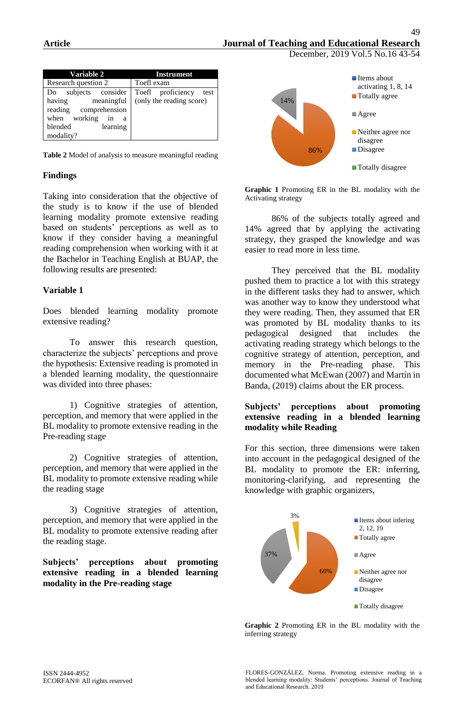December, 2019 Vol.5 No.16 43-54

| <b>Variable 2</b>       | <b>Instrument</b>         |  |  |
|-------------------------|---------------------------|--|--|
| Research question 2     | Toefl exam                |  |  |
| subjects consider<br>Do | Toefl proficiency<br>test |  |  |
| meaningful<br>having    | (only the reading score)  |  |  |
| reading comprehension   |                           |  |  |
| when working<br>in<br>a |                           |  |  |
| learning<br>blended     |                           |  |  |
| modality?               |                           |  |  |

**Table 2** Model of analysis to measure meaningful reading

### **Findings**

Taking into consideration that the objective of the study is to know if the use of blended learning modality promote extensive reading based on students' perceptions as well as to know if they consider having a meaningful reading comprehension when working with it at the Bachelor in Teaching English at BUAP, the following results are presented:

### **Variable 1**

Does blended learning modality promote extensive reading?

To answer this research question, characterize the subjects' perceptions and prove the hypothesis: Extensive reading is promoted in a blended learning modality, the questionnaire was divided into three phases:

1) Cognitive strategies of attention, perception, and memory that were applied in the BL modality to promote extensive reading in the Pre-reading stage

2) Cognitive strategies of attention, perception, and memory that were applied in the BL modality to promote extensive reading while the reading stage

3) Cognitive strategies of attention, perception, and memory that were applied in the BL modality to promote extensive reading after the reading stage.

**Subjects' perceptions about promoting extensive reading in a blended learning modality in the Pre-reading stage**



**Graphic 1** Promoting ER in the BL modality with the Activating strategy

86% of the subjects totally agreed and 14% agreed that by applying the activating strategy, they grasped the knowledge and was easier to read more in less time.

They perceived that the BL modality pushed them to practice a lot with this strategy in the different tasks they had to answer, which was another way to know they understood what they were reading. Then, they assumed that ER was promoted by BL modality thanks to its pedagogical designed that includes the activating reading strategy which belongs to the cognitive strategy of attention, perception, and memory in the Pre-reading phase. This documented what McEwan (2007) and Martín in Banda, (2019) claims about the ER process.

#### **Subjects' perceptions about promoting extensive reading in a blended learning modality while Reading**

For this section, three dimensions were taken into account in the pedagogical designed of the BL modality to promote the ER: inferring, monitoring-clarifying, and representing the knowledge with graphic organizers,



**Graphic 2** Promoting ER in the BL modality with the inferring strategy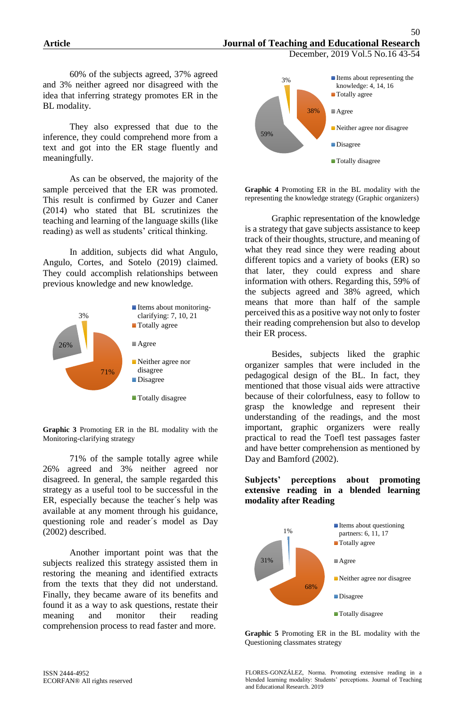December, 2019 Vol.5 No.16 43-54

60% of the subjects agreed, 37% agreed and 3% neither agreed nor disagreed with the idea that inferring strategy promotes ER in the BL modality.

They also expressed that due to the inference, they could comprehend more from a text and got into the ER stage fluently and meaningfully.

As can be observed, the majority of the sample perceived that the ER was promoted. This result is confirmed by Guzer and Caner (2014) who stated that BL scrutinizes the teaching and learning of the language skills (like reading) as well as students' critical thinking.

In addition, subjects did what Angulo, Angulo, Cortes, and Sotelo (2019) claimed. They could accomplish relationships between previous knowledge and new knowledge.



**Graphic 3** Promoting ER in the BL modality with the Monitoring-clarifying strategy

71% of the sample totally agree while 26% agreed and 3% neither agreed nor disagreed. In general, the sample regarded this strategy as a useful tool to be successful in the ER, especially because the teacher´s help was available at any moment through his guidance, questioning role and reader´s model as Day (2002) described.

Another important point was that the subjects realized this strategy assisted them in restoring the meaning and identified extracts from the texts that they did not understand. Finally, they became aware of its benefits and found it as a way to ask questions, restate their meaning and monitor their reading comprehension process to read faster and more.



**Graphic 4** Promoting ER in the BL modality with the representing the knowledge strategy (Graphic organizers)

Graphic representation of the knowledge is a strategy that gave subjects assistance to keep track of their thoughts, structure, and meaning of what they read since they were reading about different topics and a variety of books (ER) so that later, they could express and share information with others. Regarding this, 59% of the subjects agreed and 38% agreed, which means that more than half of the sample perceived this as a positive way not only to foster their reading comprehension but also to develop their ER process.

Besides, subjects liked the graphic organizer samples that were included in the pedagogical design of the BL. In fact, they mentioned that those visual aids were attractive because of their colorfulness, easy to follow to grasp the knowledge and represent their understanding of the readings, and the most important, graphic organizers were really practical to read the Toefl test passages faster and have better comprehension as mentioned by Day and Bamford (2002).

#### **Subjects' perceptions about promoting extensive reading in a blended learning modality after Reading**



**Graphic 5** Promoting ER in the BL modality with the Questioning classmates strategy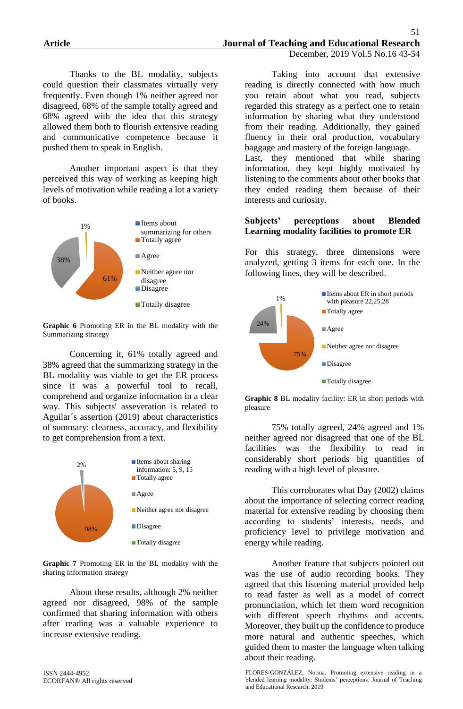Thanks to the BL modality, subjects could question their classmates virtually very frequently. Even though 1% neither agreed nor disagreed, 68% of the sample totally agreed and 68% agreed with the idea that this strategy allowed them both to flourish extensive reading and communicative competence because it pushed them to speak in English.

Another important aspect is that they perceived this way of working as keeping high levels of motivation while reading a lot a variety of books.



**Graphic 6** Promoting ER in the BL modality with the Summarizing strategy

Concerning it, 61% totally agreed and 38% agreed that the summarizing strategy in the BL modality was viable to get the ER process since it was a powerful tool to recall, comprehend and organize information in a clear way. This subjects' asseveration is related to Aguilar´s assertion (2019) about characteristics of summary: clearness, accuracy, and flexibility to get comprehension from a text.



**Graphic 7** Promoting ER in the BL modality with the sharing information strategy

About these results, although 2% neither agreed nor disagreed, 98% of the sample confirmed that sharing information with others after reading was a valuable experience to increase extensive reading.

Taking into account that extensive reading is directly connected with how much you retain about what you read, subjects regarded this strategy as a perfect one to retain information by sharing what they understood from their reading. Additionally, they gained fluency in their oral production, vocabulary baggage and mastery of the foreign language. Last, they mentioned that while sharing information, they kept highly motivated by listening to the comments about other books that they ended reading them because of their interests and curiosity.

#### **Subjects' perceptions about Blended Learning modality facilities to promote ER**

For this strategy, three dimensions were analyzed, getting 3 items for each one. In the following lines, they will be described.



**Graphic 8** BL modality facility: ER in short periods with pleasure

75% totally agreed, 24% agreed and 1% neither agreed nor disagreed that one of the BL facilities was the flexibility to read in considerably short periods big quantities of reading with a high level of pleasure.

This corroborates what Day (2002) claims about the importance of selecting correct reading material for extensive reading by choosing them according to students' interests, needs, and proficiency level to privilege motivation and energy while reading.

Another feature that subjects pointed out was the use of audio recording books. They agreed that this listening material provided help to read faster as well as a model of correct pronunciation, which let them word recognition with different speech rhythms and accents. Moreover, they built up the confidence to produce more natural and authentic speeches, which guided them to master the language when talking about their reading.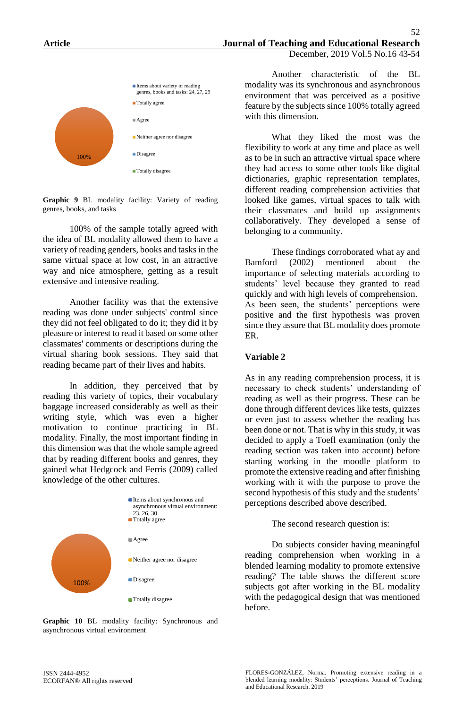

**Graphic 9** BL modality facility: Variety of reading genres, books, and tasks

100% of the sample totally agreed with the idea of BL modality allowed them to have a variety of reading genders, books and tasks in the same virtual space at low cost, in an attractive way and nice atmosphere, getting as a result extensive and intensive reading.

Another facility was that the extensive reading was done under subjects' control since they did not feel obligated to do it; they did it by pleasure or interest to read it based on some other classmates' comments or descriptions during the virtual sharing book sessions. They said that reading became part of their lives and habits.

In addition, they perceived that by reading this variety of topics, their vocabulary baggage increased considerably as well as their writing style, which was even a higher motivation to continue practicing in BL modality. Finally, the most important finding in this dimension was that the whole sample agreed that by reading different books and genres, they gained what Hedgcock and Ferris (2009) called knowledge of the other cultures.



**Graphic 10** BL modality facility: Synchronous and asynchronous virtual environment

Another characteristic of the BL modality was its synchronous and asynchronous environment that was perceived as a positive feature by the subjects since 100% totally agreed with this dimension.

What they liked the most was the flexibility to work at any time and place as well as to be in such an attractive virtual space where they had access to some other tools like digital dictionaries, graphic representation templates, different reading comprehension activities that looked like games, virtual spaces to talk with their classmates and build up assignments collaboratively. They developed a sense of belonging to a community.

These findings corroborated what ay and Bamford (2002) mentioned about the importance of selecting materials according to students' level because they granted to read quickly and with high levels of comprehension. As been seen, the students' perceptions were positive and the first hypothesis was proven since they assure that BL modality does promote ER.

#### **Variable 2**

As in any reading comprehension process, it is necessary to check students' understanding of reading as well as their progress. These can be done through different devices like tests, quizzes or even just to assess whether the reading has been done or not. That is why in this study, it was decided to apply a Toefl examination (only the reading section was taken into account) before starting working in the moodle platform to promote the extensive reading and after finishing working with it with the purpose to prove the second hypothesis of this study and the students' perceptions described above described.

The second research question is:

Do subjects consider having meaningful reading comprehension when working in a blended learning modality to promote extensive reading? The table shows the different score subjects got after working in the BL modality with the pedagogical design that was mentioned before.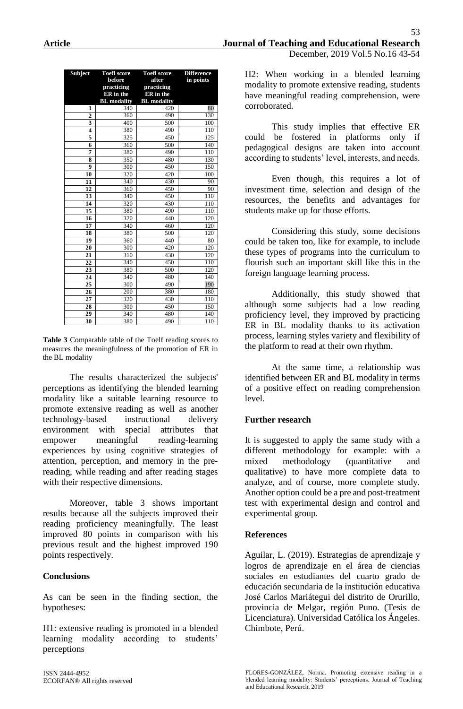| <b>Subject</b>          | <b>Toefl score</b><br>before | <b>Toefl score</b><br>after | <b>Difference</b><br>in points |
|-------------------------|------------------------------|-----------------------------|--------------------------------|
|                         | practicing                   | practicing                  |                                |
|                         | ER in the                    | ER in the                   |                                |
|                         | <b>BL</b> modality           | <b>BL</b> modality          |                                |
| 1                       | 340                          | 420                         | 80                             |
| $\overline{2}$          | 360                          | 490                         | 130                            |
| $\overline{\mathbf{3}}$ | 400                          | 500                         | 100                            |
| $\overline{\mathbf{4}}$ | 380                          | 490                         | 110                            |
| 5                       | 325                          | 450                         | 125                            |
| 6                       | 360                          | 500                         | 140                            |
| 7                       | 380                          | 490                         | 110                            |
| 8                       | $\frac{350}{ }$              | 480                         | 130                            |
| $\boldsymbol{9}$        | 300                          | 450                         | 150                            |
| 10                      | 320                          | 420                         | 100                            |
| 11                      | 340                          | 430                         | 90                             |
| 12                      | 360                          | 450                         | 90                             |
| 13                      | 340                          | 450                         | 110                            |
| 14                      | 320                          | 430                         | 110                            |
| 15                      | 380                          | 490                         | 110                            |
| 16                      | 320                          | 440                         | 120                            |
| 17                      | 340                          | 460                         | 120                            |
| 18                      | 380                          | 500                         | 120                            |
| 19                      | 360                          | 440                         | 80                             |
| 20                      | 300                          | 420                         | 120                            |
| 21                      | 310                          | 430                         | 120                            |
| $\overline{22}$         | 340                          | 450                         | 110                            |
| 23                      | 380                          | 500                         | 120                            |
| 24                      | 340                          | 480                         | 140                            |
| 25                      | 300                          | 490                         | 190                            |
| 26                      | 200                          | 380                         | 180                            |
| 27                      | 320                          | 430                         | 110                            |
| 28                      | 300                          | 450                         | 150                            |
| 29                      | 340                          | 480                         | 140                            |
| 30                      | 380                          | 490                         | 110                            |

**Table 3** Comparable table of the Toelf reading scores to measures the meaningfulness of the promotion of ER in the BL modality

The results characterized the subjects' perceptions as identifying the blended learning modality like a suitable learning resource to promote extensive reading as well as another technology-based instructional delivery environment with special attributes that empower meaningful reading-learning experiences by using cognitive strategies of attention, perception, and memory in the prereading, while reading and after reading stages with their respective dimensions.

Moreover, table 3 shows important results because all the subjects improved their reading proficiency meaningfully. The least improved 80 points in comparison with his previous result and the highest improved 190 points respectively.

#### **Conclusions**

As can be seen in the finding section, the hypotheses:

H1: extensive reading is promoted in a blended learning modality according to students' perceptions

H2: When working in a blended learning modality to promote extensive reading, students have meaningful reading comprehension, were corroborated.

This study implies that effective ER could be fostered in platforms only if pedagogical designs are taken into account according to students' level, interests, and needs.

Even though, this requires a lot of investment time, selection and design of the resources, the benefits and advantages for students make up for those efforts.

Considering this study, some decisions could be taken too, like for example, to include these types of programs into the curriculum to flourish such an important skill like this in the foreign language learning process.

Additionally, this study showed that although some subjects had a low reading proficiency level, they improved by practicing ER in BL modality thanks to its activation process, learning styles variety and flexibility of the platform to read at their own rhythm.

At the same time, a relationship was identified between ER and BL modality in terms of a positive effect on reading comprehension level.

#### **Further research**

It is suggested to apply the same study with a different methodology for example: with a mixed methodology (quantitative and qualitative) to have more complete data to analyze, and of course, more complete study. Another option could be a pre and post-treatment test with experimental design and control and experimental group.

#### **References**

Aguilar, L. (2019). Estrategias de aprendizaje y logros de aprendizaje en el área de ciencias sociales en estudiantes del cuarto grado de educación secundaria de la institución educativa José Carlos Mariátegui del distrito de Orurillo, provincia de Melgar, región Puno. (Tesis de Licenciatura). Universidad Católica los Ángeles. Chimbote, Perú.